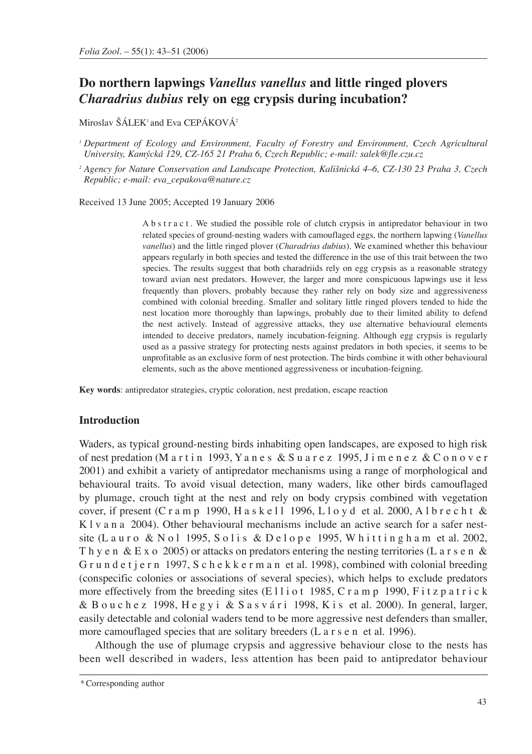# **Do northern lapwings** *Vanellus vanellus* **and little ringed plovers**  *Charadrius dubius* **rely on egg crypsis during incubation?**

Miroslav ŠÁLEK<sup>1</sup> and Eva CEPÁKOVÁ<sup>2</sup>

*<sup>1</sup> Department of Ecology and Environment, Faculty of Forestry and Environment, Czech Agricultural University, Kamýcká 129, CZ-165 21 Praha 6, Czech Republic; e-mail: salek@fle.czu.cz*

*<sup>2</sup> Agency for Nature Conservation and Landscape Protection, Kališnická 4–6, CZ-130 23 Praha 3, Czech Republic; e-mail: eva\_cepakova@nature.cz*

Received 13 June 2005; Accepted 19 January 2006

A b s t r a c t . We studied the possible role of clutch crypsis in antipredator behaviour in two related species of ground-nesting waders with camouflaged eggs, the northern lapwing (*Vanellus vanellus*) and the little ringed plover (*Charadrius dubius*). We examined whether this behaviour appears regularly in both species and tested the difference in the use of this trait between the two species. The results suggest that both charadriids rely on egg crypsis as a reasonable strategy toward avian nest predators. However, the larger and more conspicuous lapwings use it less frequently than plovers, probably because they rather rely on body size and aggressiveness combined with colonial breeding. Smaller and solitary little ringed plovers tended to hide the nest location more thoroughly than lapwings, probably due to their limited ability to defend the nest actively. Instead of aggressive attacks, they use alternative behavioural elements intended to deceive predators, namely incubation-feigning. Although egg crypsis is regularly used as a passive strategy for protecting nests against predators in both species, it seems to be unprofitable as an exclusive form of nest protection. The birds combine it with other behavioural elements, such as the above mentioned aggressiveness or incubation-feigning.

**Key words**: antipredator strategies, cryptic coloration, nest predation, escape reaction

#### **Introduction**

Waders, as typical ground-nesting birds inhabiting open landscapes, are exposed to high risk of nest predation (M a r t i n 1993, Y a n e s & S u a r e z 1995, J i m e n e z & C o n o v e r 2001) and exhibit a variety of antipredator mechanisms using a range of morphological and behavioural traits. To avoid visual detection, many waders, like other birds camouflaged by plumage, crouch tight at the nest and rely on body crypsis combined with vegetation cover, if present (C r a m p 1990, H a s k e l l 1996, L l o y d et al. 2000, A l b r e c h t  $\&$ K l v a n a 2004). Other behavioural mechanisms include an active search for a safer nestsite (Lauro & Nol 1995, Solis & Delope 1995, Whittingham et al. 2002, Th y e n & E x o 2005) or attacks on predators entering the nesting territories (L a r s e n & G r u n d e t j e r n 1997, S c h e k k e r m a n et al. 1998), combined with colonial breeding (conspecific colonies or associations of several species), which helps to exclude predators more effectively from the breeding sites (E11i o t 1985, C r a m p 1990, F i t z p a t r i c k & B o u c h e z 1998, H e g y i & S a s v á r i 1998, K i s et al. 2000). In general, larger, easily detectable and colonial waders tend to be more aggressive nest defenders than smaller, more camouflaged species that are solitary breeders (L a r s e n et al. 1996).

Although the use of plumage crypsis and aggressive behaviour close to the nests has been well described in waders, less attention has been paid to antipredator behaviour

<sup>\*</sup>Corresponding author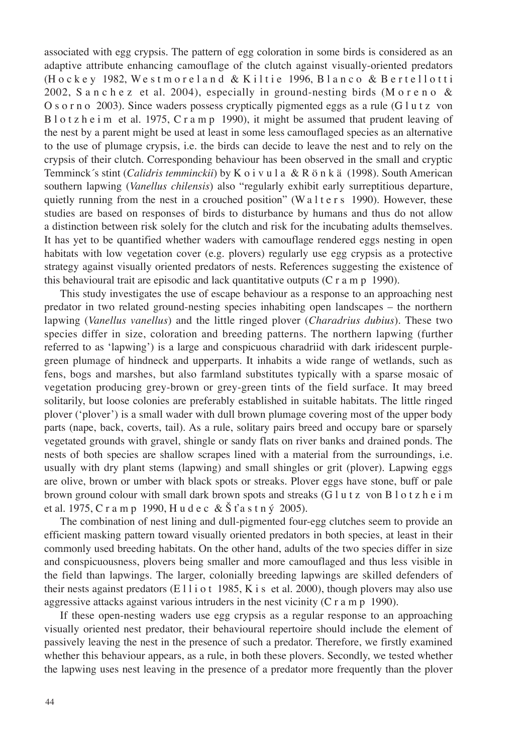associated with egg crypsis. The pattern of egg coloration in some birds is considered as an adaptive attribute enhancing camouflage of the clutch against visually-oriented predators (Hockey 1982, Westmoreland & Kiltie 1996, Blanco & Bertellotti 2002, S a n c h e z et al. 2004), especially in ground-nesting birds (M o r e n o  $\&$ O s o r n o 2003). Since waders possess cryptically pigmented eggs as a rule (G  $\ln z$  von B l o t z h e i m et al. 1975, C r a m p 1990), it might be assumed that prudent leaving of the nest by a parent might be used at least in some less camouflaged species as an alternative to the use of plumage crypsis, i.e. the birds can decide to leave the nest and to rely on the crypsis of their clutch. Corresponding behaviour has been observed in the small and cryptic Temminck´s stint (*Calidris temminckii*) by K o i v u l a & R ö n k ä (1998). South American southern lapwing (*Vanellus chilensis*) also "regularly exhibit early surreptitious departure, quietly running from the nest in a crouched position" (W a l t e r s 1990). However, these studies are based on responses of birds to disturbance by humans and thus do not allow a distinction between risk solely for the clutch and risk for the incubating adults themselves. It has yet to be quantified whether waders with camouflage rendered eggs nesting in open habitats with low vegetation cover (e.g. plovers) regularly use egg crypsis as a protective strategy against visually oriented predators of nests. References suggesting the existence of this behavioural trait are episodic and lack quantitative outputs  $(C r a m p 1990)$ .

This study investigates the use of escape behaviour as a response to an approaching nest predator in two related ground-nesting species inhabiting open landscapes – the northern lapwing (*Vanellus vanellus*) and the little ringed plover (*Charadrius dubius*). These two species differ in size, coloration and breeding patterns. The northern lapwing (further referred to as 'lapwing') is a large and conspicuous charadriid with dark iridescent purplegreen plumage of hindneck and upperparts. It inhabits a wide range of wetlands, such as fens, bogs and marshes, but also farmland substitutes typically with a sparse mosaic of vegetation producing grey-brown or grey-green tints of the field surface. It may breed solitarily, but loose colonies are preferably established in suitable habitats. The little ringed plover ('plover') is a small wader with dull brown plumage covering most of the upper body parts (nape, back, coverts, tail). As a rule, solitary pairs breed and occupy bare or sparsely vegetated grounds with gravel, shingle or sandy flats on river banks and drained ponds. The nests of both species are shallow scrapes lined with a material from the surroundings, i.e. usually with dry plant stems (lapwing) and small shingles or grit (plover). Lapwing eggs are olive, brown or umber with black spots or streaks. Plover eggs have stone, buff or pale brown ground colour with small dark brown spots and streaks (G l u t z von B l o t z h e i m et al. 1975, C r a m p 1990, H u d e c &  $\check{S}$  t' a s t n  $\check{V}$  2005).

The combination of nest lining and dull-pigmented four-egg clutches seem to provide an efficient masking pattern toward visually oriented predators in both species, at least in their commonly used breeding habitats. On the other hand, adults of the two species differ in size and conspicuousness, plovers being smaller and more camouflaged and thus less visible in the field than lapwings. The larger, colonially breeding lapwings are skilled defenders of their nests against predators (E 11 i o t 1985, K i s et al. 2000), though plovers may also use aggressive attacks against various intruders in the nest vicinity (C r a m p 1990).

If these open-nesting waders use egg crypsis as a regular response to an approaching visually oriented nest predator, their behavioural repertoire should include the element of passively leaving the nest in the presence of such a predator. Therefore, we firstly examined whether this behaviour appears, as a rule, in both these plovers. Secondly, we tested whether the lapwing uses nest leaving in the presence of a predator more frequently than the plover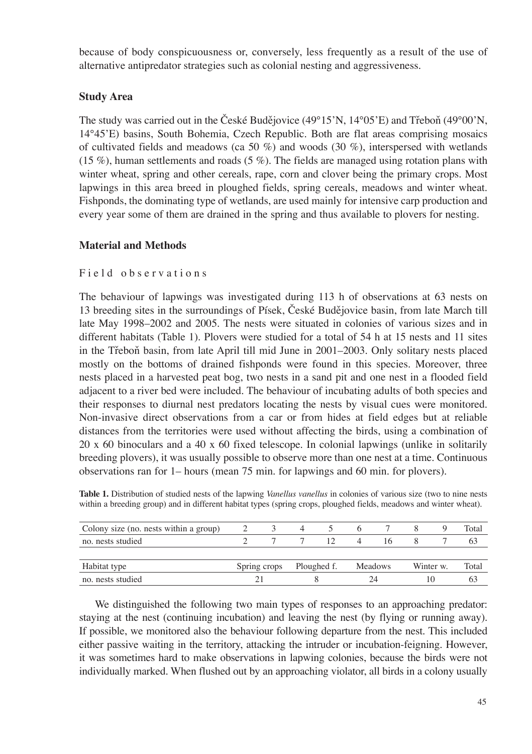because of body conspicuousness or, conversely, less frequently as a result of the use of alternative antipredator strategies such as colonial nesting and aggressiveness.

# **Study Area**

The study was carried out in the České Budějovice (49°15'N, 14°05'E) and Třeboň (49°00'N, 14°45'E) basins, South Bohemia, Czech Republic. Both are flat areas comprising mosaics of cultivated fields and meadows (ca 50 %) and woods (30 %), interspersed with wetlands (15 %), human settlements and roads (5 %). The fields are managed using rotation plans with winter wheat, spring and other cereals, rape, corn and clover being the primary crops. Most lapwings in this area breed in ploughed fields, spring cereals, meadows and winter wheat. Fishponds, the dominating type of wetlands, are used mainly for intensive carp production and every year some of them are drained in the spring and thus available to plovers for nesting.

# **Material and Methods**

### Field observations

The behaviour of lapwings was investigated during 113 h of observations at 63 nests on 13 breeding sites in the surroundings of Písek, České Budějovice basin, from late March till late May 1998–2002 and 2005. The nests were situated in colonies of various sizes and in different habitats (Table 1). Plovers were studied for a total of 54 h at 15 nests and 11 sites in the Třeboň basin, from late April till mid June in 2001–2003. Only solitary nests placed mostly on the bottoms of drained fishponds were found in this species. Moreover, three nests placed in a harvested peat bog, two nests in a sand pit and one nest in a flooded field adjacent to a river bed were included. The behaviour of incubating adults of both species and their responses to diurnal nest predators locating the nests by visual cues were monitored. Non-invasive direct observations from a car or from hides at field edges but at reliable distances from the territories were used without affecting the birds, using a combination of 20 x 60 binoculars and a 40 x 60 fixed telescope. In colonial lapwings (unlike in solitarily breeding plovers), it was usually possible to observe more than one nest at a time. Continuous observations ran for 1– hours (mean 75 min. for lapwings and 60 min. for plovers).

**Table 1.** Distribution of studied nests of the lapwing *Vanellus vanellus* in colonies of various size (two to nine nests within a breeding group) and in different habitat types (spring crops, ploughed fields, meadows and winter wheat).

| Colony size (no. nests within a group) |                          |  | 4 |    | 6 <sup>6</sup> |    |           |    | Total |
|----------------------------------------|--------------------------|--|---|----|----------------|----|-----------|----|-------|
| no. nests studied                      |                          |  |   | 12 | $\overline{4}$ | 16 |           |    | 63    |
|                                        |                          |  |   |    |                |    |           |    |       |
| Habitat type                           | Spring crops Ploughed f. |  |   |    | Meadows        |    | Winter w. |    | Total |
| no. nests studied                      |                          |  |   |    |                | 7Δ |           | 10 |       |

We distinguished the following two main types of responses to an approaching predator: staying at the nest (continuing incubation) and leaving the nest (by flying or running away). If possible, we monitored also the behaviour following departure from the nest. This included either passive waiting in the territory, attacking the intruder or incubation-feigning. However, it was sometimes hard to make observations in lapwing colonies, because the birds were not individually marked. When flushed out by an approaching violator, all birds in a colony usually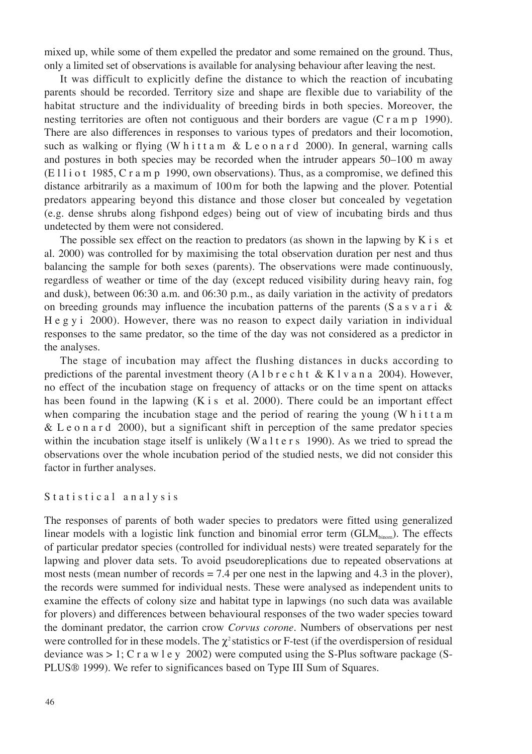mixed up, while some of them expelled the predator and some remained on the ground. Thus, only a limited set of observations is available for analysing behaviour after leaving the nest.

It was difficult to explicitly define the distance to which the reaction of incubating parents should be recorded. Territory size and shape are flexible due to variability of the habitat structure and the individuality of breeding birds in both species. Moreover, the nesting territories are often not contiguous and their borders are vague (C r a m p 1990). There are also differences in responses to various types of predators and their locomotion, such as walking or flying (W h i t t a m & L e o n a r d 2000). In general, warning calls and postures in both species may be recorded when the intruder appears 50–100 m away  $(E 11iot 1985, C r a m p 1990, own observations)$ . Thus, as a compromise, we defined this distance arbitrarily as a maximum of 100m for both the lapwing and the plover. Potential predators appearing beyond this distance and those closer but concealed by vegetation (e.g. dense shrubs along fishpond edges) being out of view of incubating birds and thus undetected by them were not considered.

The possible sex effect on the reaction to predators (as shown in the lapwing by K i s et al. 2000) was controlled for by maximising the total observation duration per nest and thus balancing the sample for both sexes (parents). The observations were made continuously, regardless of weather or time of the day (except reduced visibility during heavy rain, fog and dusk), between 06:30 a.m. and 06:30 p.m., as daily variation in the activity of predators on breeding grounds may influence the incubation patterns of the parents (S a s v a r i & H e g y i 2000). However, there was no reason to expect daily variation in individual responses to the same predator, so the time of the day was not considered as a predictor in the analyses.

The stage of incubation may affect the flushing distances in ducks according to predictions of the parental investment theory (A l b r e c h t & K l v a n a 2004). However, no effect of the incubation stage on frequency of attacks or on the time spent on attacks has been found in the lapwing (K i s et al. 2000). There could be an important effect when comparing the incubation stage and the period of rearing the young (W h i t t a m & L e o n a r d 2000), but a significant shift in perception of the same predator species within the incubation stage itself is unlikely (W a l t e r s 1990). As we tried to spread the observations over the whole incubation period of the studied nests, we did not consider this factor in further analyses.

#### Statistical analysis

The responses of parents of both wader species to predators were fitted using generalized linear models with a logistic link function and binomial error term  $(GLM_{\text{hion}})$ . The effects of particular predator species (controlled for individual nests) were treated separately for the lapwing and plover data sets. To avoid pseudoreplications due to repeated observations at most nests (mean number of records = 7.4 per one nest in the lapwing and 4.3 in the plover), the records were summed for individual nests. These were analysed as independent units to examine the effects of colony size and habitat type in lapwings (no such data was available for plovers) and differences between behavioural responses of the two wader species toward the dominant predator, the carrion crow *Corvus corone*. Numbers of observations per nest were controlled for in these models. The  $\chi^2$  statistics or F-test (if the overdispersion of residual deviance was  $> 1$ ; C r a w l e y 2002) were computed using the S-Plus software package (S-PLUS® 1999). We refer to significances based on Type III Sum of Squares.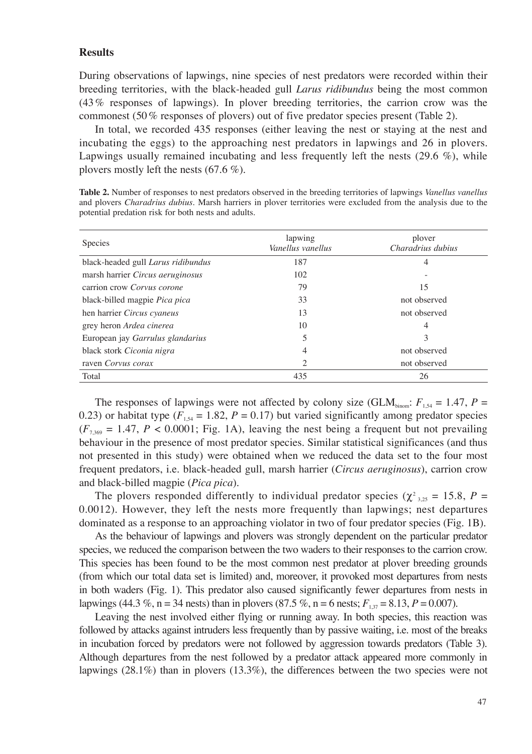#### **Results**

During observations of lapwings, nine species of nest predators were recorded within their breeding territories, with the black-headed gull *Larus ridibundus* being the most common (43% responses of lapwings). In plover breeding territories, the carrion crow was the commonest (50% responses of plovers) out of five predator species present (Table 2).

In total, we recorded 435 responses (either leaving the nest or staying at the nest and incubating the eggs) to the approaching nest predators in lapwings and 26 in plovers. Lapwings usually remained incubating and less frequently left the nests (29.6 %), while plovers mostly left the nests (67.6 %).

**Table 2.** Number of responses to nest predators observed in the breeding territories of lapwings *Vanellus vanellus* and plovers *Charadrius dubius*. Marsh harriers in plover territories were excluded from the analysis due to the potential predation risk for both nests and adults.

| <b>Species</b>                       | lapwing<br>Vanellus vanellus | plover<br>Charadrius dubius |  |  |
|--------------------------------------|------------------------------|-----------------------------|--|--|
| black-headed gull Larus ridibundus   | 187                          | 4                           |  |  |
| marsh harrier Circus aeruginosus     | 102                          |                             |  |  |
| carrion crow Corvus corone           | 79                           | 15                          |  |  |
| black-billed magpie <i>Pica pica</i> | 33                           | not observed                |  |  |
| hen harrier Circus cyaneus           | 13                           | not observed                |  |  |
| grey heron Ardea cinerea             | 10                           | 4                           |  |  |
| European jay Garrulus glandarius     | 5                            | 3                           |  |  |
| black stork Ciconia nigra            | 4                            | not observed                |  |  |
| raven Corvus corax                   | 2                            | not observed                |  |  |
| Total                                | 435                          | 26                          |  |  |

The responses of lapwings were not affected by colony size (GLM<sub>binom</sub>:  $F_{1.54} = 1.47$ ,  $P =$ 0.23) or habitat type ( $F_{1,54} = 1.82$ ,  $P = 0.17$ ) but varied significantly among predator species  $(F<sub>7,369</sub> = 1.47, P < 0.0001$ ; Fig. 1A), leaving the nest being a frequent but not prevailing behaviour in the presence of most predator species. Similar statistical significances (and thus not presented in this study) were obtained when we reduced the data set to the four most frequent predators, i.e. black-headed gull, marsh harrier (*Circus aeruginosus*), carrion crow and black-billed magpie (*Pica pica*).

The plovers responded differently to individual predator species ( $\chi^2_{3,25} = 15.8$ ,  $P =$ 0.0012). However, they left the nests more frequently than lapwings; nest departures dominated as a response to an approaching violator in two of four predator species (Fig. 1B).

As the behaviour of lapwings and plovers was strongly dependent on the particular predator species, we reduced the comparison between the two waders to their responses to the carrion crow. This species has been found to be the most common nest predator at plover breeding grounds (from which our total data set is limited) and, moreover, it provoked most departures from nests in both waders (Fig. 1). This predator also caused significantly fewer departures from nests in lapwings (44.3 %, n = 34 nests) than in plovers (87.5 %, n = 6 nests;  $F_{1,37} = 8.13$ ,  $P = 0.007$ ).

Leaving the nest involved either flying or running away. In both species, this reaction was followed by attacks against intruders less frequently than by passive waiting, i.e. most of the breaks in incubation forced by predators were not followed by aggression towards predators (Table 3). Although departures from the nest followed by a predator attack appeared more commonly in lapwings (28.1%) than in plovers (13.3%), the differences between the two species were not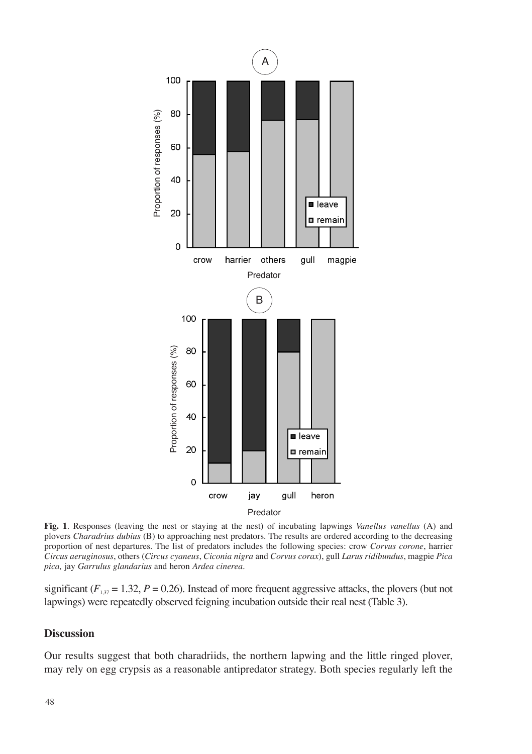

**Fig. 1**. Responses (leaving the nest or staying at the nest) of incubating lapwings *Vanellus vanellus* (A) and plovers *Charadrius dubius* (B) to approaching nest predators. The results are ordered according to the decreasing proportion of nest departures. The list of predators includes the following species: crow *Corvus corone*, harrier *Circus aeruginosus*, others (*Circus cyaneus*, *Ciconia nigra* and *Corvus corax*), gull *Larus ridibundus*, magpie *Pica pica,* jay *Garrulus glandarius* and heron *Ardea cinerea*.

significant ( $F_{1,37}$  = 1.32,  $P$  = 0.26). Instead of more frequent aggressive attacks, the plovers (but not lapwings) were repeatedly observed feigning incubation outside their real nest (Table 3).

### **Discussion**

Our results suggest that both charadriids, the northern lapwing and the little ringed plover, may rely on egg crypsis as a reasonable antipredator strategy. Both species regularly left the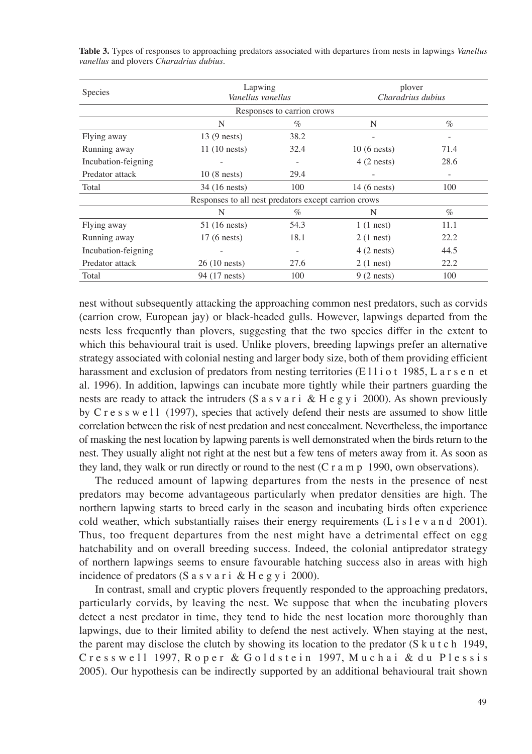| Species                                              | Lapwing<br>Vanellus vanellus |      | plover<br>Charadrius dubius |      |  |  |  |  |  |
|------------------------------------------------------|------------------------------|------|-----------------------------|------|--|--|--|--|--|
| Responses to carrion crows                           |                              |      |                             |      |  |  |  |  |  |
|                                                      | N                            | $\%$ | N                           | $\%$ |  |  |  |  |  |
| Flying away                                          | $13(9$ nests)                | 38.2 |                             |      |  |  |  |  |  |
| Running away                                         | $11(10$ nests)               | 32.4 | $10(6$ nests)               | 71.4 |  |  |  |  |  |
| Incubation-feigning                                  |                              |      | $4(2$ nests)                | 28.6 |  |  |  |  |  |
| Predator attack                                      | $10(8 \text{ nests})$        | 29.4 |                             |      |  |  |  |  |  |
| Total                                                | 34 (16 nests)                | 100  | $14(6$ nests)               | 100  |  |  |  |  |  |
| Responses to all nest predators except carrion crows |                              |      |                             |      |  |  |  |  |  |
|                                                      | N                            | $\%$ | N                           | $\%$ |  |  |  |  |  |
| Flying away                                          | 51 (16 nests)                | 54.3 | $1(1$ nest)                 | 11.1 |  |  |  |  |  |
| Running away                                         | $17(6$ nests)                | 18.1 | $2(1$ nest)                 | 22.2 |  |  |  |  |  |
| Incubation-feigning                                  |                              |      | $4(2$ nests)                | 44.5 |  |  |  |  |  |
| Predator attack                                      | $26(10 \text{ nests})$       | 27.6 | $2(1$ nest)                 | 22.2 |  |  |  |  |  |
| Total                                                | 94 (17 nests)                | 100  | $9(2$ nests)                | 100  |  |  |  |  |  |

**Table 3.** Types of responses to approaching predators associated with departures from nests in lapwings *Vanellus vanellus* and plovers *Charadrius dubius*.

nest without subsequently attacking the approaching common nest predators, such as corvids (carrion crow, European jay) or black-headed gulls. However, lapwings departed from the nests less frequently than plovers, suggesting that the two species differ in the extent to which this behavioural trait is used. Unlike plovers, breeding lapwings prefer an alternative strategy associated with colonial nesting and larger body size, both of them providing efficient harassment and exclusion of predators from nesting territories (E11i o t 1985, L a r s e n et al. 1996). In addition, lapwings can incubate more tightly while their partners guarding the nests are ready to attack the intruders (S a s v a r i & H e g y i 2000). As shown previously by C r e s s w e  $11$  (1997), species that actively defend their nests are assumed to show little correlation between the risk of nest predation and nest concealment. Nevertheless, the importance of masking the nest location by lapwing parents is well demonstrated when the birds return to the nest. They usually alight not right at the nest but a few tens of meters away from it. As soon as they land, they walk or run directly or round to the nest (C r a m p 1990, own observations).

The reduced amount of lapwing departures from the nests in the presence of nest predators may become advantageous particularly when predator densities are high. The northern lapwing starts to breed early in the season and incubating birds often experience cold weather, which substantially raises their energy requirements (L i s  $l$  e v a n d 2001). Thus, too frequent departures from the nest might have a detrimental effect on egg hatchability and on overall breeding success. Indeed, the colonial antipredator strategy of northern lapwings seems to ensure favourable hatching success also in areas with high incidence of predators (S a s v a r i  $&$  H e g y i 2000).

In contrast, small and cryptic plovers frequently responded to the approaching predators, particularly corvids, by leaving the nest. We suppose that when the incubating plovers detect a nest predator in time, they tend to hide the nest location more thoroughly than lapwings, due to their limited ability to defend the nest actively. When staying at the nest, the parent may disclose the clutch by showing its location to the predator  $(S \kappa u t c h 1949)$ , Cresswell 1997, Roper & Goldstein 1997, Muchai & du Plessis 2005). Our hypothesis can be indirectly supported by an additional behavioural trait shown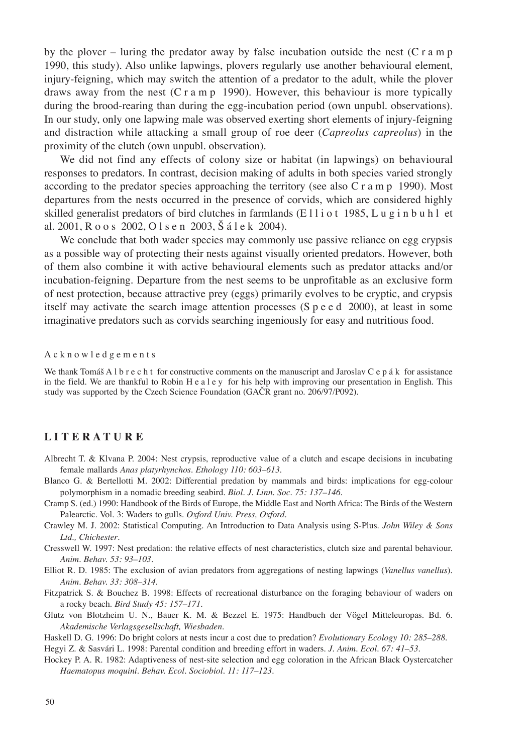by the plover – luring the predator away by false incubation outside the nest  $(C \rceil a \rceil p)$ 1990, this study). Also unlike lapwings, plovers regularly use another behavioural element, injury-feigning, which may switch the attention of a predator to the adult, while the plover draws away from the nest (C r a m p 1990). However, this behaviour is more typically during the brood-rearing than during the egg-incubation period (own unpubl. observations). In our study, only one lapwing male was observed exerting short elements of injury-feigning and distraction while attacking a small group of roe deer (*Capreolus capreolus*) in the proximity of the clutch (own unpubl. observation).

We did not find any effects of colony size or habitat (in lapwings) on behavioural responses to predators. In contrast, decision making of adults in both species varied strongly according to the predator species approaching the territory (see also  $C r a m p 1990$ ). Most departures from the nests occurred in the presence of corvids, which are considered highly skilled generalist predators of bird clutches in farmlands (Elliot 1985, Lugin buhl et al. 2001, R o o s 2002, O l s e n 2003, Š á l e k 2004).

We conclude that both wader species may commonly use passive reliance on egg crypsis as a possible way of protecting their nests against visually oriented predators. However, both of them also combine it with active behavioural elements such as predator attacks and/or incubation-feigning. Departure from the nest seems to be unprofitable as an exclusive form of nest protection, because attractive prey (eggs) primarily evolves to be cryptic, and crypsis itself may activate the search image attention processes (S p e e d 2000), at least in some imaginative predators such as corvids searching ingeniously for easy and nutritious food.

A c k n o w l e d g e m e n t s

We thank Tomáš A l b r e c h t for constructive comments on the manuscript and Jaroslav C e p á k for assistance in the field. We are thankful to Robin H e a l e y for his help with improving our presentation in English. This study was supported by the Czech Science Foundation (GAČR grant no. 206/97/P092).

### **L i t e r a t u r e**

- Albrecht T. & Klvana P. 2004: Nest crypsis, reproductive value of a clutch and escape decisions in incubating female mallards *Anas platyrhynchos*. *Ethology 110: 603–613.*
- Blanco G. & Bertellotti M. 2002: Differential predation by mammals and birds: implications for egg-colour polymorphism in a nomadic breeding seabird. *Biol. J. Linn. Soc. 75: 137–146.*
- Cramp S. (ed.) 1990: Handbook of the Birds of Europe, the Middle East and North Africa: The Birds of the Western Palearctic. Vol. 3: Waders to gulls. *Oxford Univ. Press, Oxford.*
- Crawley M. J. 2002: Statistical Computing. An Introduction to Data Analysis using S-Plus. *John Wiley & Sons Ltd., Chichester*.
- Cresswell W. 1997: Nest predation: the relative effects of nest characteristics, clutch size and parental behaviour. *Anim. Behav. 53: 93–103*.
- Elliot R. D. 1985: The exclusion of avian predators from aggregations of nesting lapwings (*Vanellus vanellus*). *Anim. Behav. 33: 308–314.*
- Fitzpatrick S. & Bouchez B. 1998: Effects of recreational disturbance on the foraging behaviour of waders on a rocky beach. *Bird Study 45: 157–171.*
- Glutz von Blotzheim U. N., Bauer K. M. & Bezzel E. 1975: Handbuch der Vögel Mitteleuropas. Bd. 6. *Akademische Verlagsgesellschaft, Wiesbaden.*
- Haskell D. G. 1996: Do bright colors at nests incur a cost due to predation? *Evolutionary Ecology 10: 285–288*.
- Hegyi Z. & Sasvári L. 1998: Parental condition and breeding effort in waders. *J. Anim. Ecol. 67: 41–53.*
- Hockey P. A. R. 1982: Adaptiveness of nest-site selection and egg coloration in the African Black Oystercatcher *Haematopus moquini. Behav. Ecol. Sociobiol. 11: 117–123.*